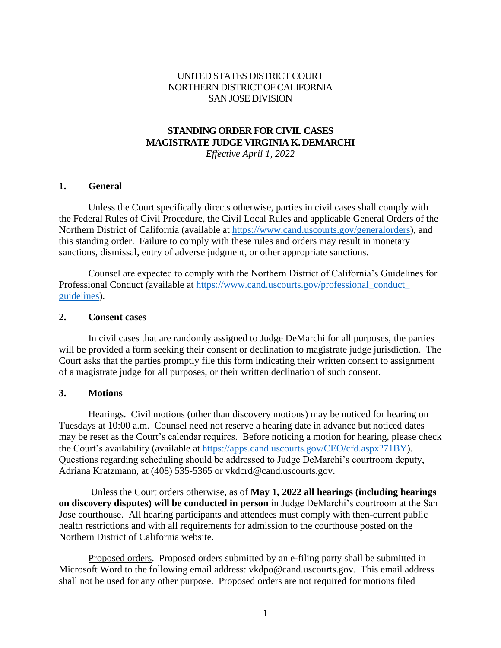### UNITED STATES DISTRICT COURT NORTHERN DISTRICT OF CALIFORNIA SAN JOSE DIVISION

# **STANDING ORDER FOR CIVIL CASES MAGISTRATE JUDGE VIRGINIA K. DEMARCHI**

*Effective April 1, 2022*

#### **1. General**

Unless the Court specifically directs otherwise, parties in civil cases shall comply with the Federal Rules of Civil Procedure, the Civil Local Rules and applicable General Orders of the Northern District of California (available at https://www.cand.uscourts.gov/generalorders), and this standing order. Failure to comply with these rules and orders may result in monetary sanctions, dismissal, entry of adverse judgment, or other appropriate sanctions.

Counsel are expected to comply with the Northern District of California's Guidelines for Professional Conduct (available at https://www.cand.uscourts.gov/professional\_conduct\_ guidelines).

#### **2. Consent cases**

In civil cases that are randomly assigned to Judge DeMarchi for all purposes, the parties will be provided a form seeking their consent or declination to magistrate judge jurisdiction. The Court asks that the parties promptly file this form indicating their written consent to assignment of a magistrate judge for all purposes, or their written declination of such consent.

#### **3. Motions**

Hearings. Civil motions (other than discovery motions) may be noticed for hearing on Tuesdays at 10:00 a.m. Counsel need not reserve a hearing date in advance but noticed dates may be reset as the Court's calendar requires. Before noticing a motion for hearing, please check the Court's availability (available at https://apps.cand.uscourts.gov/CEO/cfd.aspx?71BY). Questions regarding scheduling should be addressed to Judge DeMarchi's courtroom deputy, Adriana Kratzmann, at (408) 535-5365 or vkdcrd@cand.uscourts.gov.

Unless the Court orders otherwise, as of **May 1, 2022 all hearings (including hearings on discovery disputes) will be conducted in person** in Judge DeMarchi's courtroom at the San Jose courthouse. All hearing participants and attendees must comply with then-current public health restrictions and with all requirements for admission to the courthouse posted on the Northern District of California website.

Proposed orders. Proposed orders submitted by an e-filing party shall be submitted in Microsoft Word to the following email address: vkdpo@cand.uscourts.gov. This email address shall not be used for any other purpose. Proposed orders are not required for motions filed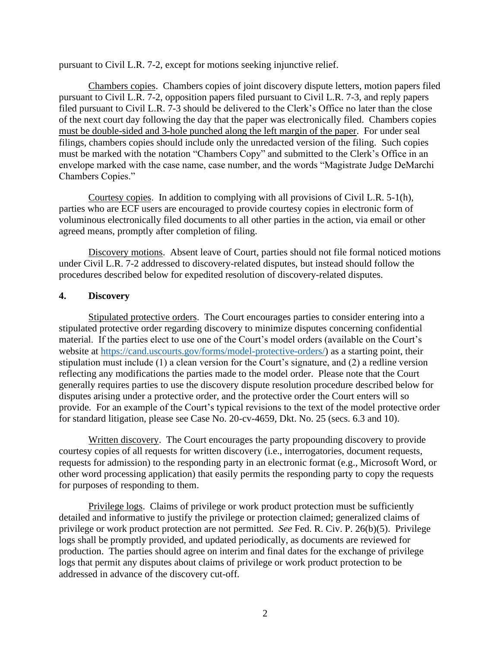pursuant to Civil L.R. 7-2, except for motions seeking injunctive relief.

Chambers copies. Chambers copies of joint discovery dispute letters, motion papers filed pursuant to Civil L.R. 7-2, opposition papers filed pursuant to Civil L.R. 7-3, and reply papers filed pursuant to Civil L.R. 7-3 should be delivered to the Clerk's Office no later than the close of the next court day following the day that the paper was electronically filed. Chambers copies must be double-sided and 3-hole punched along the left margin of the paper. For under seal filings, chambers copies should include only the unredacted version of the filing. Such copies must be marked with the notation "Chambers Copy" and submitted to the Clerk's Office in an envelope marked with the case name, case number, and the words "Magistrate Judge DeMarchi Chambers Copies."

Courtesy copies. In addition to complying with all provisions of Civil L.R. 5-1(h), parties who are ECF users are encouraged to provide courtesy copies in electronic form of voluminous electronically filed documents to all other parties in the action, via email or other agreed means, promptly after completion of filing.

Discovery motions. Absent leave of Court, parties should not file formal noticed motions under Civil L.R. 7-2 addressed to discovery-related disputes, but instead should follow the procedures described below for expedited resolution of discovery-related disputes.

#### **4. Discovery**

Stipulated protective orders. The Court encourages parties to consider entering into a stipulated protective order regarding discovery to minimize disputes concerning confidential material. If the parties elect to use one of the Court's model orders (available on the Court's website at https://cand.uscourts.gov/forms/model-protective-orders/) as a starting point, their stipulation must include (1) a clean version for the Court's signature, and (2) a redline version reflecting any modifications the parties made to the model order. Please note that the Court generally requires parties to use the discovery dispute resolution procedure described below for disputes arising under a protective order, and the protective order the Court enters will so provide. For an example of the Court's typical revisions to the text of the model protective order for standard litigation, please see Case No. 20-cv-4659, Dkt. No. 25 (secs. 6.3 and 10).

Written discovery. The Court encourages the party propounding discovery to provide courtesy copies of all requests for written discovery (i.e., interrogatories, document requests, requests for admission) to the responding party in an electronic format (e.g., Microsoft Word, or other word processing application) that easily permits the responding party to copy the requests for purposes of responding to them.

Privilege logs. Claims of privilege or work product protection must be sufficiently detailed and informative to justify the privilege or protection claimed; generalized claims of privilege or work product protection are not permitted. *See* Fed. R. Civ. P. 26(b)(5). Privilege logs shall be promptly provided, and updated periodically, as documents are reviewed for production. The parties should agree on interim and final dates for the exchange of privilege logs that permit any disputes about claims of privilege or work product protection to be addressed in advance of the discovery cut-off.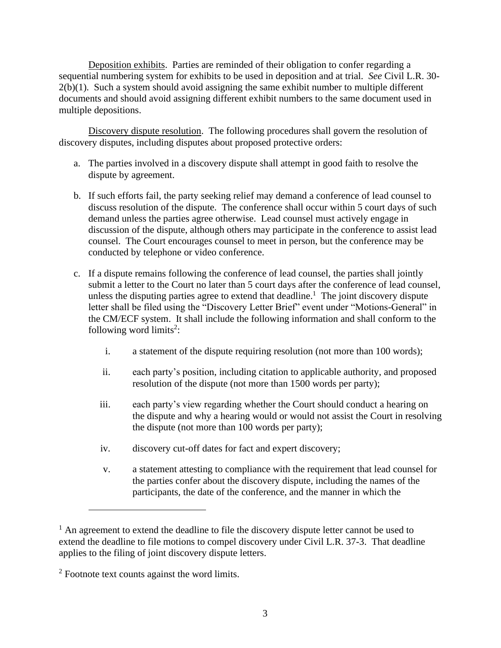Deposition exhibits. Parties are reminded of their obligation to confer regarding a sequential numbering system for exhibits to be used in deposition and at trial. *See* Civil L.R. 30- 2(b)(1). Such a system should avoid assigning the same exhibit number to multiple different documents and should avoid assigning different exhibit numbers to the same document used in multiple depositions.

Discovery dispute resolution. The following procedures shall govern the resolution of discovery disputes, including disputes about proposed protective orders:

- a. The parties involved in a discovery dispute shall attempt in good faith to resolve the dispute by agreement.
- b. If such efforts fail, the party seeking relief may demand a conference of lead counsel to discuss resolution of the dispute. The conference shall occur within 5 court days of such demand unless the parties agree otherwise. Lead counsel must actively engage in discussion of the dispute, although others may participate in the conference to assist lead counsel. The Court encourages counsel to meet in person, but the conference may be conducted by telephone or video conference.
- c. If a dispute remains following the conference of lead counsel, the parties shall jointly submit a letter to the Court no later than 5 court days after the conference of lead counsel, unless the disputing parties agree to extend that deadline.<sup>1</sup> The joint discovery dispute letter shall be filed using the "Discovery Letter Brief" event under "Motions-General" in the CM/ECF system. It shall include the following information and shall conform to the following word limits<sup>2</sup>:
	- i. a statement of the dispute requiring resolution (not more than 100 words);
	- ii. each party's position, including citation to applicable authority, and proposed resolution of the dispute (not more than 1500 words per party);
	- iii. each party's view regarding whether the Court should conduct a hearing on the dispute and why a hearing would or would not assist the Court in resolving the dispute (not more than 100 words per party);
	- iv. discovery cut-off dates for fact and expert discovery;
	- v. a statement attesting to compliance with the requirement that lead counsel for the parties confer about the discovery dispute, including the names of the participants, the date of the conference, and the manner in which the

 $<sup>1</sup>$  An agreement to extend the deadline to file the discovery dispute letter cannot be used to</sup> extend the deadline to file motions to compel discovery under Civil L.R. 37-3. That deadline applies to the filing of joint discovery dispute letters.

<sup>&</sup>lt;sup>2</sup> Footnote text counts against the word limits.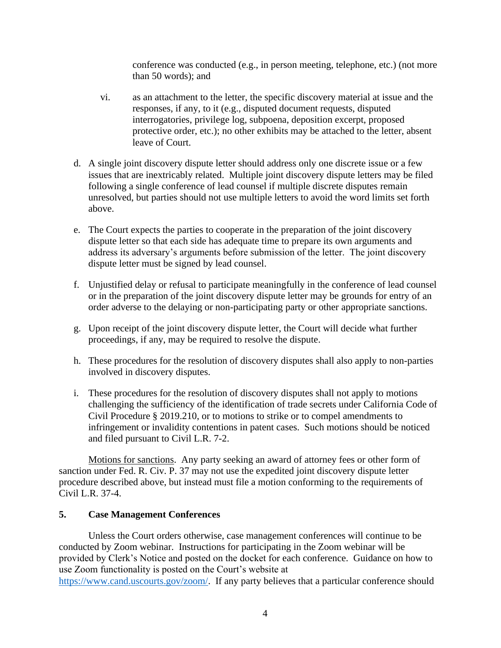conference was conducted (e.g., in person meeting, telephone, etc.) (not more than 50 words); and

- vi. as an attachment to the letter, the specific discovery material at issue and the responses, if any, to it (e.g., disputed document requests, disputed interrogatories, privilege log, subpoena, deposition excerpt, proposed protective order, etc.); no other exhibits may be attached to the letter, absent leave of Court.
- d. A single joint discovery dispute letter should address only one discrete issue or a few issues that are inextricably related. Multiple joint discovery dispute letters may be filed following a single conference of lead counsel if multiple discrete disputes remain unresolved, but parties should not use multiple letters to avoid the word limits set forth above.
- e. The Court expects the parties to cooperate in the preparation of the joint discovery dispute letter so that each side has adequate time to prepare its own arguments and address its adversary's arguments before submission of the letter. The joint discovery dispute letter must be signed by lead counsel.
- f. Unjustified delay or refusal to participate meaningfully in the conference of lead counsel or in the preparation of the joint discovery dispute letter may be grounds for entry of an order adverse to the delaying or non-participating party or other appropriate sanctions.
- g. Upon receipt of the joint discovery dispute letter, the Court will decide what further proceedings, if any, may be required to resolve the dispute.
- h. These procedures for the resolution of discovery disputes shall also apply to non-parties involved in discovery disputes.
- i. These procedures for the resolution of discovery disputes shall not apply to motions challenging the sufficiency of the identification of trade secrets under California Code of Civil Procedure § 2019.210, or to motions to strike or to compel amendments to infringement or invalidity contentions in patent cases. Such motions should be noticed and filed pursuant to Civil L.R. 7-2.

Motions for sanctions. Any party seeking an award of attorney fees or other form of sanction under Fed. R. Civ. P. 37 may not use the expedited joint discovery dispute letter procedure described above, but instead must file a motion conforming to the requirements of Civil L.R. 37-4.

### **5. Case Management Conferences**

Unless the Court orders otherwise, case management conferences will continue to be conducted by Zoom webinar. Instructions for participating in the Zoom webinar will be provided by Clerk's Notice and posted on the docket for each conference. Guidance on how to use Zoom functionality is posted on the Court's website at https://www.cand.uscourts.gov/zoom/. If any party believes that a particular conference should